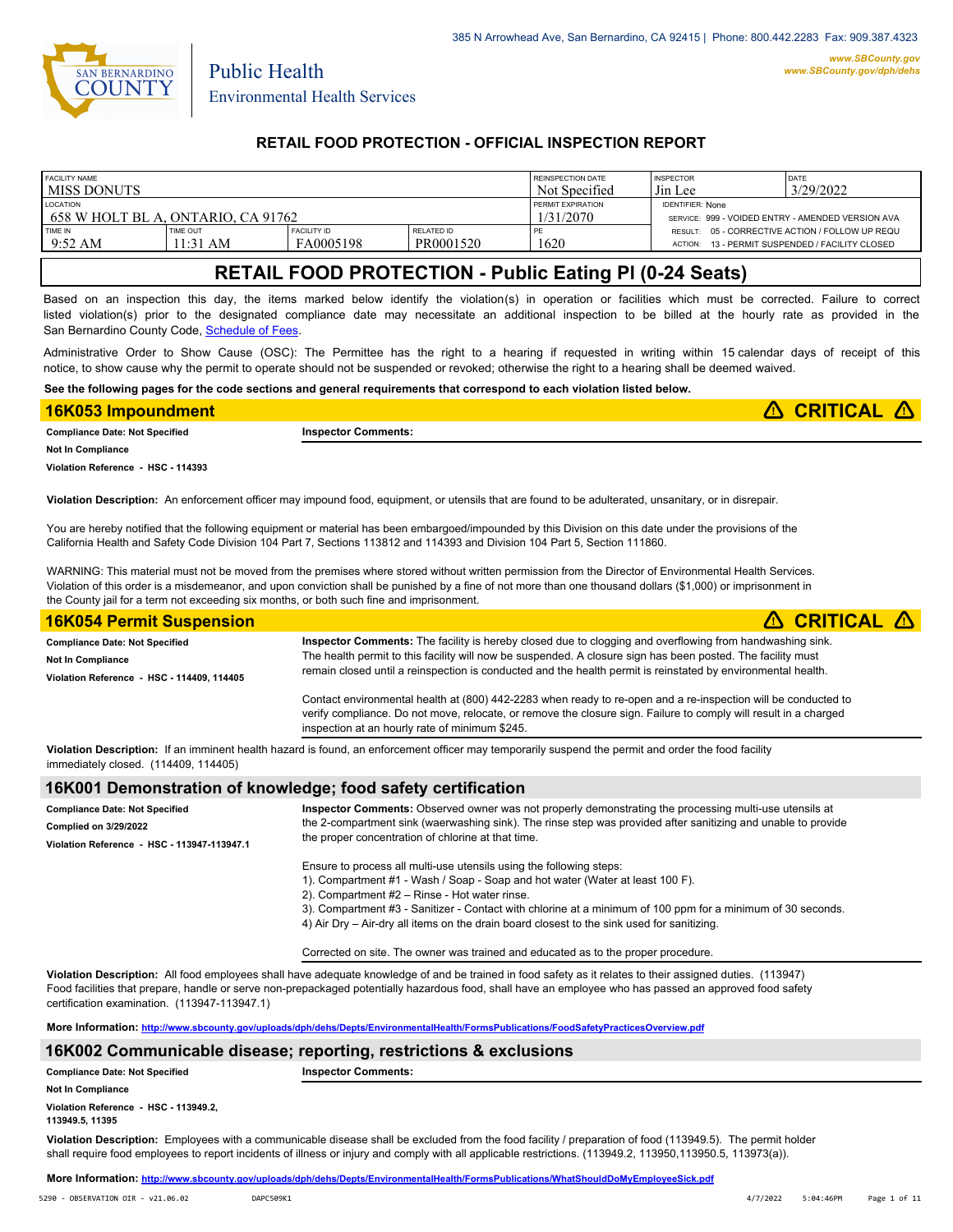

# **RETAIL FOOD PROTECTION - OFFICIAL INSPECTION REPORT**

| <b>FACILITY NAME</b>                 |                        |                                 | <b>REINSPECTION DATE</b> | <b>INSPECTOR</b>                                  | DATE           |                                                                                            |
|--------------------------------------|------------------------|---------------------------------|--------------------------|---------------------------------------------------|----------------|--------------------------------------------------------------------------------------------|
| I MISS DONUTS                        |                        |                                 | Not Specified            | Jin Lee                                           | 3/29/2022      |                                                                                            |
| <b>LOCATION</b>                      |                        |                                 | PERMIT EXPIRATION        | <b>IDENTIFIER: None</b>                           |                |                                                                                            |
| 1 658 W HOLT BL A. ONTARIO. CA 91762 |                        |                                 | 1/31/2070                | SERVICE: 999 - VOIDED ENTRY - AMENDED VERSION AVA |                |                                                                                            |
| TIME IN<br>$9:52 \text{ AM}$         | TIME OUT<br>$11:31$ AM | <b>FACILITY ID</b><br>FA0005198 | RELATED ID<br>PR0001520  | 1620                                              | <b>ACTION:</b> | RESULT: 05 - CORRECTIVE ACTION / FOLLOW UP REQU<br>13 - PERMIT SUSPENDED / FACILITY CLOSED |

# **RETAIL FOOD PROTECTION - Public Eating Pl (0-24 Seats)**

Based on an inspection this day, the items marked below identify the violation(s) in operation or facilities which must be corrected. Failure to correct listed violation(s) prior to the designated compliance date may necessitate an additional inspection to be billed at the hourly rate as provided in the San Bernardino County Code, Schedule of Fees

Administrative Order to Show Cause (OSC): The Permittee has the right to a hearing if requested in writing within 15 calendar days of receipt of this notice, to show cause why the permit to operate should not be suspended or revoked; otherwise the right to a hearing shall be deemed waived.

**See the following pages for the code sections and general requirements that correspond to each violation listed below.**

| 16K053 Impoundment                    |                            | <b>A CRITICAL</b> |
|---------------------------------------|----------------------------|-------------------|
| <b>Compliance Date: Not Specified</b> | <b>Inspector Comments:</b> |                   |
| <b>Not In Compliance</b>              |                            |                   |

**Violation Reference - HSC - 114393**

**Violation Description:** An enforcement officer may impound food, equipment, or utensils that are found to be adulterated, unsanitary, or in disrepair.

You are hereby notified that the following equipment or material has been embargoed/impounded by this Division on this date under the provisions of the California Health and Safety Code Division 104 Part 7, Sections 113812 and 114393 and Division 104 Part 5, Section 111860.

WARNING: This material must not be moved from the premises where stored without written permission from the Director of Environmental Health Services. Violation of this order is a misdemeanor, and upon conviction shall be punished by a fine of not more than one thousand dollars (\$1,000) or imprisonment in the County jail for a term not exceeding six months, or both such fine and imprisonment.

| <b>16K054 Permit Suspension</b>            | $\triangle$ CRITICAL $\triangle$                                                                                                                                                                                                                                                    |
|--------------------------------------------|-------------------------------------------------------------------------------------------------------------------------------------------------------------------------------------------------------------------------------------------------------------------------------------|
| <b>Compliance Date: Not Specified</b>      | Inspector Comments: The facility is hereby closed due to clogging and overflowing from handwashing sink.                                                                                                                                                                            |
| <b>Not In Compliance</b>                   | The health permit to this facility will now be suspended. A closure sign has been posted. The facility must                                                                                                                                                                         |
| Violation Reference - HSC - 114409, 114405 | remain closed until a reinspection is conducted and the health permit is reinstated by environmental health.                                                                                                                                                                        |
|                                            | Contact environmental health at (800) 442-2283 when ready to re-open and a re-inspection will be conducted to<br>verify compliance. Do not move, relocate, or remove the closure sign. Failure to comply will result in a charged<br>inspection at an hourly rate of minimum \$245. |

**Violation Description:** If an imminent health hazard is found, an enforcement officer may temporarily suspend the permit and order the food facility immediately closed. (114409, 114405)

## **16K001 Demonstration of knowledge; food safety certification**

| <b>Compliance Date: Not Specified</b><br><b>Complied on 3/29/2022</b>                                                          | Inspector Comments: Observed owner was not properly demonstrating the processing multi-use utensils at<br>the 2-compartment sink (waerwashing sink). The rinse step was provided after sanitizing and unable to provide |  |
|--------------------------------------------------------------------------------------------------------------------------------|-------------------------------------------------------------------------------------------------------------------------------------------------------------------------------------------------------------------------|--|
| Violation Reference - HSC - 113947-113947.1                                                                                    | the proper concentration of chlorine at that time.                                                                                                                                                                      |  |
|                                                                                                                                | Ensure to process all multi-use utensils using the following steps:                                                                                                                                                     |  |
| 1). Compartment #1 - Wash / Soap - Soap and hot water (Water at least 100 F).<br>2). Compartment #2 - Rinse - Hot water rinse. |                                                                                                                                                                                                                         |  |
|                                                                                                                                |                                                                                                                                                                                                                         |  |
|                                                                                                                                | 4) Air Dry – Air-dry all items on the drain board closest to the sink used for sanitizing.                                                                                                                              |  |

Corrected on site. The owner was trained and educated as to the proper procedure.

**Violation Description:** All food employees shall have adequate knowledge of and be trained in food safety as it relates to their assigned duties. (113947) Food facilities that prepare, handle or serve non-prepackaged potentially hazardous food, shall have an employee who has passed an approved food safety certification examination. (113947-113947.1)

**More Information: <http://www.sbcounty.gov/uploads/dph/dehs/Depts/EnvironmentalHealth/FormsPublications/FoodSafetyPracticesOverview.pdf>**

#### **16K002 Communicable disease; reporting, restrictions & exclusions**

**Compliance Date: Not Specified Inspector Comments:** 

**Not In Compliance**

**Violation Reference - HSC - 113949.2, 113949.5, 11395**

**Violation Description:** Employees with a communicable disease shall be excluded from the food facility / preparation of food (113949.5). The permit holder shall require food employees to report incidents of illness or injury and comply with all applicable restrictions. (113949.2, 113950,113950.5, 113973(a)).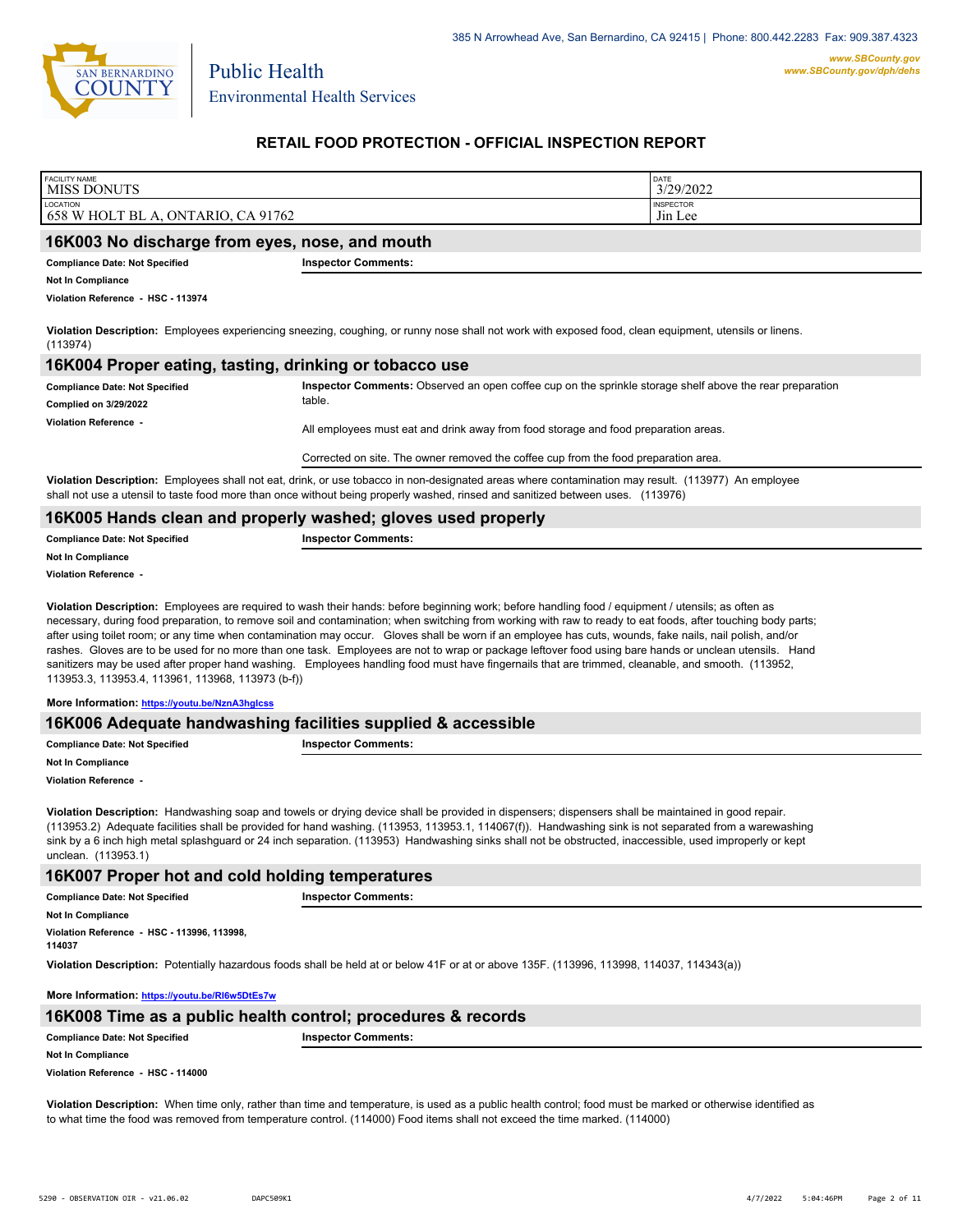

# **RETAIL FOOD PROTECTION - OFFICIAL INSPECTION REPORT**

| <b>FACILITY NAME</b><br>MISS DONUTS            |                            | DATE<br>3/29/2022 |
|------------------------------------------------|----------------------------|-------------------|
| LOCATION                                       |                            | <b>INSPECTOR</b>  |
| 658 W HOLT BL A, ONTARIO, CA 91762             |                            | Jin Lee           |
| 16K003 No discharge from eyes, nose, and mouth |                            |                   |
| <b>Compliance Date: Not Specified</b>          | <b>Inspector Comments:</b> |                   |

**Not In Compliance**

**Violation Reference - HSC - 113974**

**Violation Description:** Employees experiencing sneezing, coughing, or runny nose shall not work with exposed food, clean equipment, utensils or linens. (113974)

### **16K004 Proper eating, tasting, drinking or tobacco use**

| <b>Compliance Date: Not Specified</b> | Inspector Comments: Observed an open coffee cup on the sprinkle storage shelf above the rear preparation                             |
|---------------------------------------|--------------------------------------------------------------------------------------------------------------------------------------|
| <b>Complied on 3/29/2022</b>          | table.                                                                                                                               |
| Violation Reference -                 | All employees must eat and drink away from food storage and food preparation areas.                                                  |
|                                       | Corrected on site. The owner removed the coffee cup from the food preparation area.                                                  |
|                                       | Michalis December Cambridge shall and satisfable corrected and declinated and colombia contaction and account 1449077). As equipment |

**Violation Description:** Employees shall not eat, drink, or use tobacco in non-designated areas where contamination may result. (113977) An employee shall not use a utensil to taste food more than once without being properly washed, rinsed and sanitized between uses. (113976)

### **16K005 Hands clean and properly washed; gloves used properly**

| <b>Compliance Date: Not Specified</b> | <b>Inspector Comments:</b> |
|---------------------------------------|----------------------------|
| <b>Not In Compliance</b>              |                            |
| Violation Reference -                 |                            |

**Violation Description:** Employees are required to wash their hands: before beginning work; before handling food / equipment / utensils; as often as necessary, during food preparation, to remove soil and contamination; when switching from working with raw to ready to eat foods, after touching body parts; after using toilet room; or any time when contamination may occur. Gloves shall be worn if an employee has cuts, wounds, fake nails, nail polish, and/or rashes. Gloves are to be used for no more than one task. Employees are not to wrap or package leftover food using bare hands or unclean utensils. Hand sanitizers may be used after proper hand washing. Employees handling food must have fingernails that are trimmed, cleanable, and smooth. (113952, 113953.3, 113953.4, 113961, 113968, 113973 (b-f))

#### **More Information: <https://youtu.be/NznA3hgIcss>**

### **16K006 Adequate handwashing facilities supplied & accessible**

| <b>Compliance Date: Not Specified</b> | - -<br>Comments:<br>ector |
|---------------------------------------|---------------------------|
| <b>Not In Compliance</b>              |                           |

**Violation Reference -** 

**Violation Description:** Handwashing soap and towels or drying device shall be provided in dispensers; dispensers shall be maintained in good repair. (113953.2) Adequate facilities shall be provided for hand washing. (113953, 113953.1, 114067(f)). Handwashing sink is not separated from a warewashing sink by a 6 inch high metal splashguard or 24 inch separation. (113953) Handwashing sinks shall not be obstructed, inaccessible, used improperly or kept unclean. (113953.1)

### **16K007 Proper hot and cold holding temperatures**

| <b>Compliance Date: Not Specified</b>                 | <b>Inspector Comments:</b> |
|-------------------------------------------------------|----------------------------|
| <b>Not In Compliance</b>                              |                            |
| Violation Reference - HSC - 113996, 113998,<br>114037 |                            |

**Violation Description:** Potentially hazardous foods shall be held at or below 41F or at or above 135F. (113996, 113998, 114037, 114343(a))

**More Information: <https://youtu.be/RI6w5DtEs7w>**

| 16K008 Time as a public health control; procedures & records |                            |  |
|--------------------------------------------------------------|----------------------------|--|
| <b>Compliance Date: Not Specified</b>                        | <b>Inspector Comments:</b> |  |
| <b>Not In Compliance</b>                                     |                            |  |
| Violetian Defensese LIBO 444000                              |                            |  |

**Violation Reference - HSC - 114000**

**Violation Description:** When time only, rather than time and temperature, is used as a public health control; food must be marked or otherwise identified as to what time the food was removed from temperature control. (114000) Food items shall not exceed the time marked. (114000)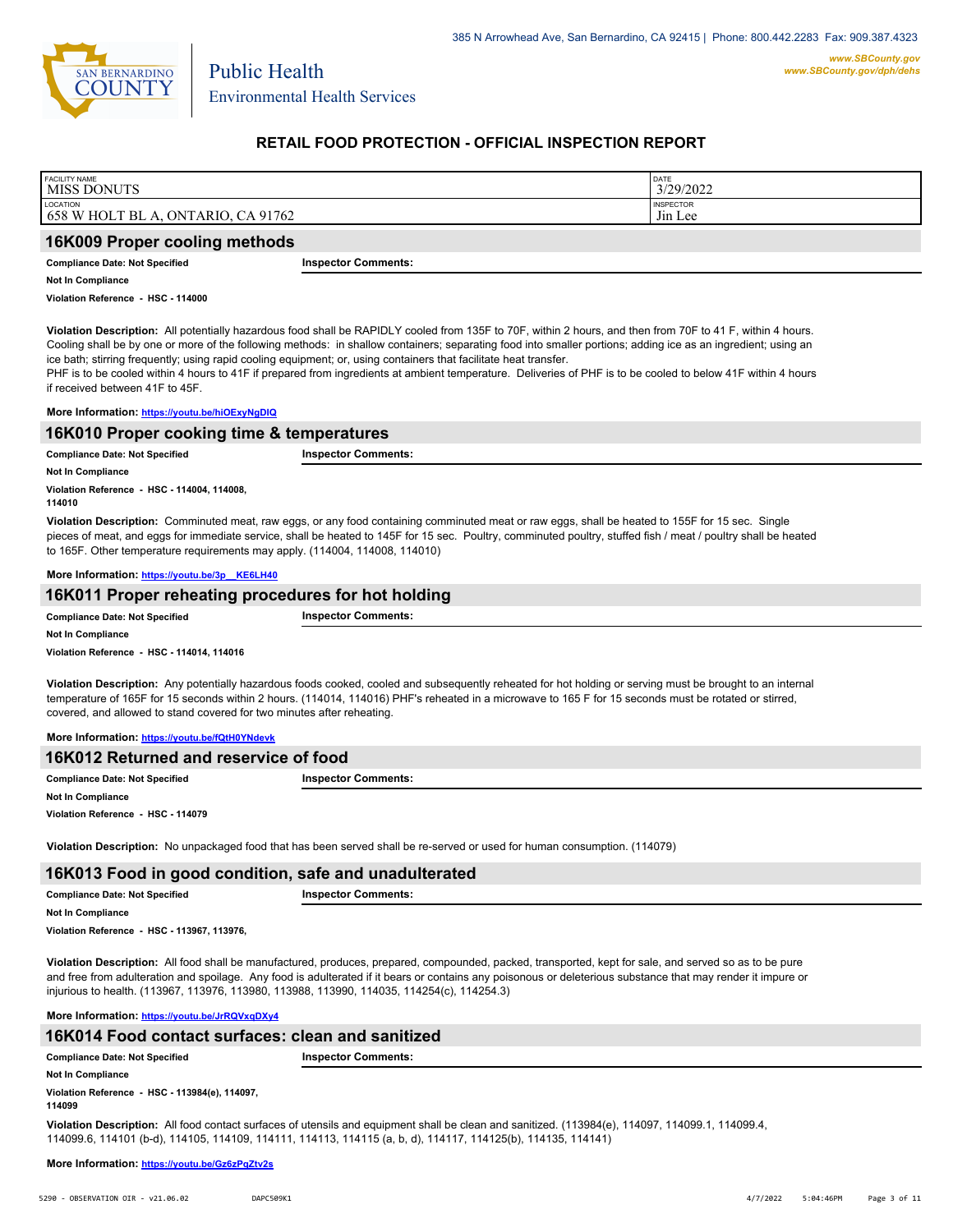

# **RETAIL FOOD PROTECTION - OFFICIAL INSPECTION REPORT**

| <b>FACILITY NAME</b>               | DATE             |  |
|------------------------------------|------------------|--|
| <b>MISS DONUTS</b>                 | 3/29/2022        |  |
| LOCATION                           | <b>INSPECTOR</b> |  |
| 658 W HOLT BL A, ONTARIO, CA 91762 | Jin Lee          |  |
| 16K009 Proper cooling methods      |                  |  |

## **Compliance Date: Not Specified Inspector Comments:**

**Not In Compliance**

**Violation Reference - HSC - 114000**

**Violation Description:** All potentially hazardous food shall be RAPIDLY cooled from 135F to 70F, within 2 hours, and then from 70F to 41 F, within 4 hours. Cooling shall be by one or more of the following methods: in shallow containers; separating food into smaller portions; adding ice as an ingredient; using an ice bath; stirring frequently; using rapid cooling equipment; or, using containers that facilitate heat transfer.

PHF is to be cooled within 4 hours to 41F if prepared from ingredients at ambient temperature. Deliveries of PHF is to be cooled to below 41F within 4 hours if received between 41F to 45F.

#### **More Information: <https://youtu.be/hiOExyNgDIQ>**

### **16K010 Proper cooking time & temperatures**

| <b>Compliance Date: Not Specified</b>                 | <b>Inspector Comments:</b> |
|-------------------------------------------------------|----------------------------|
| <b>Not In Compliance</b>                              |                            |
| Violation Reference - HSC - 114004, 114008,<br>114010 |                            |

**Violation Description:** Comminuted meat, raw eggs, or any food containing comminuted meat or raw eggs, shall be heated to 155F for 15 sec. Single pieces of meat, and eggs for immediate service, shall be heated to 145F for 15 sec. Poultry, comminuted poultry, stuffed fish / meat / poultry shall be heated to 165F. Other temperature requirements may apply. (114004, 114008, 114010)

#### **More Information: [https://youtu.be/3p\\_\\_KE6LH40](https://youtu.be/3p__KE6LH40)**

| 16K011 Proper reheating procedures for hot holding |                            |  |
|----------------------------------------------------|----------------------------|--|
| <b>Compliance Date: Not Specified</b>              | <b>Inspector Comments:</b> |  |
| <b>Not In Compliance</b>                           |                            |  |
| Violation Reference - HSC - 114014, 114016         |                            |  |

**Violation Description:** Any potentially hazardous foods cooked, cooled and subsequently reheated for hot holding or serving must be brought to an internal temperature of 165F for 15 seconds within 2 hours. (114014, 114016) PHF's reheated in a microwave to 165 F for 15 seconds must be rotated or stirred, covered, and allowed to stand covered for two minutes after reheating.

#### **More Information: <https://youtu.be/fQtH0YNdevk>**

| 16K012 Returned and reservice of food |                            |  |
|---------------------------------------|----------------------------|--|
| <b>Compliance Date: Not Specified</b> | <b>Inspector Comments:</b> |  |
| <b>Not In Compliance</b>              |                            |  |
| Violation Reference - HSC - 114079    |                            |  |

**Violation Description:** No unpackaged food that has been served shall be re-served or used for human consumption. (114079)

#### **16K013 Food in good condition, safe and unadulterated**

| <b>Compliance Date: Not Specified</b> | r Comments:<br>snector: |
|---------------------------------------|-------------------------|
| <b>Not In Compliance</b>              |                         |

**Violation Reference - HSC - 113967, 113976,**

**Violation Description:** All food shall be manufactured, produces, prepared, compounded, packed, transported, kept for sale, and served so as to be pure and free from adulteration and spoilage. Any food is adulterated if it bears or contains any poisonous or deleterious substance that may render it impure or injurious to health. (113967, 113976, 113980, 113988, 113990, 114035, 114254(c), 114254.3)

#### **More Information: <https://youtu.be/JrRQVxqDXy4>**

### **16K014 Food contact surfaces: clean and sanitized**

| <b>Compliance Date: Not Specified</b> | <b>Inspector Comments:</b> |
|---------------------------------------|----------------------------|
|                                       |                            |

**Not In Compliance**

**Violation Reference - HSC - 113984(e), 114097, 114099**

**Violation Description:** All food contact surfaces of utensils and equipment shall be clean and sanitized. (113984(e), 114097, 114099.1, 114099.4, 114099.6, 114101 (b-d), 114105, 114109, 114111, 114113, 114115 (a, b, d), 114117, 114125(b), 114135, 114141)

**More Information: <https://youtu.be/Gz6zPqZtv2s>**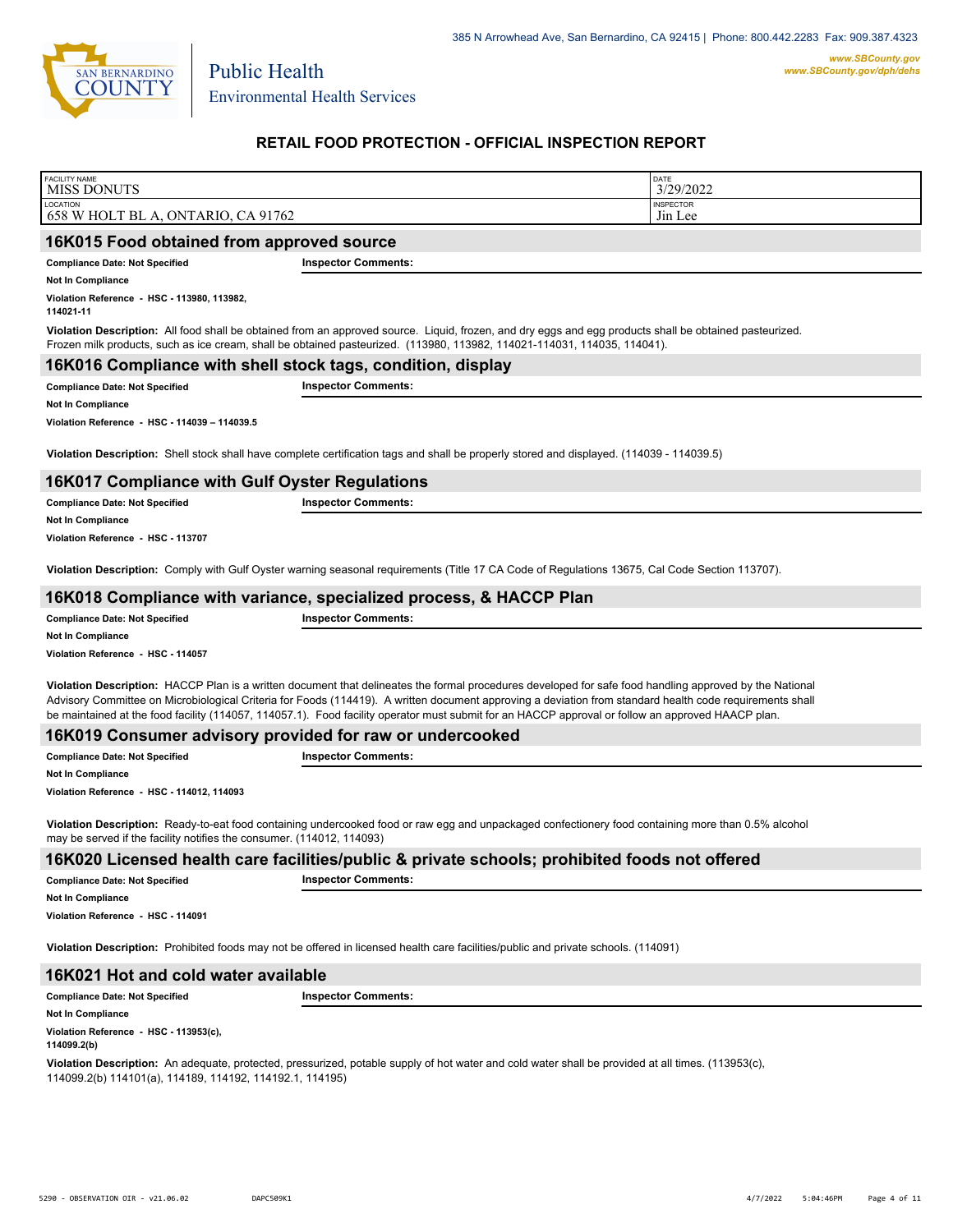

# **RETAIL FOOD PROTECTION - OFFICIAL INSPECTION REPORT**

| <b>FACILITY NAME</b><br><b>MISS DONUTS</b>                            |                                                                                                                                                                                                                                                                                                                                                                                                                                                                          | DATE<br>3/29/2022           |
|-----------------------------------------------------------------------|--------------------------------------------------------------------------------------------------------------------------------------------------------------------------------------------------------------------------------------------------------------------------------------------------------------------------------------------------------------------------------------------------------------------------------------------------------------------------|-----------------------------|
| LOCATION<br>658 W HOLT BL A, ONTARIO, CA 91762                        |                                                                                                                                                                                                                                                                                                                                                                                                                                                                          | <b>INSPECTOR</b><br>Jin Lee |
| 16K015 Food obtained from approved source                             |                                                                                                                                                                                                                                                                                                                                                                                                                                                                          |                             |
| <b>Compliance Date: Not Specified</b>                                 | <b>Inspector Comments:</b>                                                                                                                                                                                                                                                                                                                                                                                                                                               |                             |
| <b>Not In Compliance</b>                                              |                                                                                                                                                                                                                                                                                                                                                                                                                                                                          |                             |
| Violation Reference - HSC - 113980, 113982,<br>114021-11              |                                                                                                                                                                                                                                                                                                                                                                                                                                                                          |                             |
|                                                                       | Violation Description: All food shall be obtained from an approved source. Liquid, frozen, and dry eggs and egg products shall be obtained pasteurized.<br>Frozen milk products, such as ice cream, shall be obtained pasteurized. (113980, 113982, 114021-114031, 114035, 114041).                                                                                                                                                                                      |                             |
| 16K016 Compliance with shell stock tags, condition, display           |                                                                                                                                                                                                                                                                                                                                                                                                                                                                          |                             |
| <b>Compliance Date: Not Specified</b>                                 | <b>Inspector Comments:</b>                                                                                                                                                                                                                                                                                                                                                                                                                                               |                             |
| <b>Not In Compliance</b>                                              |                                                                                                                                                                                                                                                                                                                                                                                                                                                                          |                             |
| Violation Reference - HSC - 114039 - 114039.5                         |                                                                                                                                                                                                                                                                                                                                                                                                                                                                          |                             |
|                                                                       | Violation Description: Shell stock shall have complete certification tags and shall be properly stored and displayed. (114039 - 114039.5)                                                                                                                                                                                                                                                                                                                                |                             |
| <b>16K017 Compliance with Gulf Oyster Regulations</b>                 |                                                                                                                                                                                                                                                                                                                                                                                                                                                                          |                             |
| <b>Compliance Date: Not Specified</b>                                 | <b>Inspector Comments:</b>                                                                                                                                                                                                                                                                                                                                                                                                                                               |                             |
| <b>Not In Compliance</b>                                              |                                                                                                                                                                                                                                                                                                                                                                                                                                                                          |                             |
| Violation Reference - HSC - 113707                                    |                                                                                                                                                                                                                                                                                                                                                                                                                                                                          |                             |
|                                                                       | Violation Description: Comply with Gulf Oyster warning seasonal requirements (Title 17 CA Code of Regulations 13675, Cal Code Section 113707).                                                                                                                                                                                                                                                                                                                           |                             |
| 16K018 Compliance with variance, specialized process, & HACCP Plan    |                                                                                                                                                                                                                                                                                                                                                                                                                                                                          |                             |
|                                                                       |                                                                                                                                                                                                                                                                                                                                                                                                                                                                          |                             |
| <b>Compliance Date: Not Specified</b>                                 | <b>Inspector Comments:</b>                                                                                                                                                                                                                                                                                                                                                                                                                                               |                             |
| <b>Not In Compliance</b>                                              |                                                                                                                                                                                                                                                                                                                                                                                                                                                                          |                             |
| Violation Reference - HSC - 114057                                    |                                                                                                                                                                                                                                                                                                                                                                                                                                                                          |                             |
|                                                                       | Violation Description: HACCP Plan is a written document that delineates the formal procedures developed for safe food handling approved by the National<br>Advisory Committee on Microbiological Criteria for Foods (114419). A written document approving a deviation from standard health code requirements shall<br>be maintained at the food facility (114057, 114057.1). Food facility operator must submit for an HACCP approval or follow an approved HAACP plan. |                             |
| 16K019 Consumer advisory provided for raw or undercooked              |                                                                                                                                                                                                                                                                                                                                                                                                                                                                          |                             |
| <b>Compliance Date: Not Specified</b>                                 | <b>Inspector Comments:</b>                                                                                                                                                                                                                                                                                                                                                                                                                                               |                             |
| <b>Not In Compliance</b>                                              |                                                                                                                                                                                                                                                                                                                                                                                                                                                                          |                             |
| Violation Reference - HSC - 114012, 114093                            |                                                                                                                                                                                                                                                                                                                                                                                                                                                                          |                             |
| may be served if the facility notifies the consumer. (114012, 114093) | Violation Description: Ready-to-eat food containing undercooked food or raw egg and unpackaged confectionery food containing more than 0.5% alcohol                                                                                                                                                                                                                                                                                                                      |                             |
|                                                                       | 16K020 Licensed health care facilities/public & private schools; prohibited foods not offered                                                                                                                                                                                                                                                                                                                                                                            |                             |
| <b>Compliance Date: Not Specified</b>                                 | <b>Inspector Comments:</b>                                                                                                                                                                                                                                                                                                                                                                                                                                               |                             |
| <b>Not In Compliance</b>                                              |                                                                                                                                                                                                                                                                                                                                                                                                                                                                          |                             |
| Violation Reference - HSC - 114091                                    |                                                                                                                                                                                                                                                                                                                                                                                                                                                                          |                             |
|                                                                       | Violation Description: Prohibited foods may not be offered in licensed health care facilities/public and private schools. (114091)                                                                                                                                                                                                                                                                                                                                       |                             |
| 16K021 Hot and cold water available                                   |                                                                                                                                                                                                                                                                                                                                                                                                                                                                          |                             |
| <b>Compliance Date: Not Specified</b>                                 | <b>Inspector Comments:</b>                                                                                                                                                                                                                                                                                                                                                                                                                                               |                             |
| <b>Not In Compliance</b>                                              |                                                                                                                                                                                                                                                                                                                                                                                                                                                                          |                             |

**114099.2(b)**

**Violation Description:** An adequate, protected, pressurized, potable supply of hot water and cold water shall be provided at all times. (113953(c), 114099.2(b) 114101(a), 114189, 114192, 114192.1, 114195)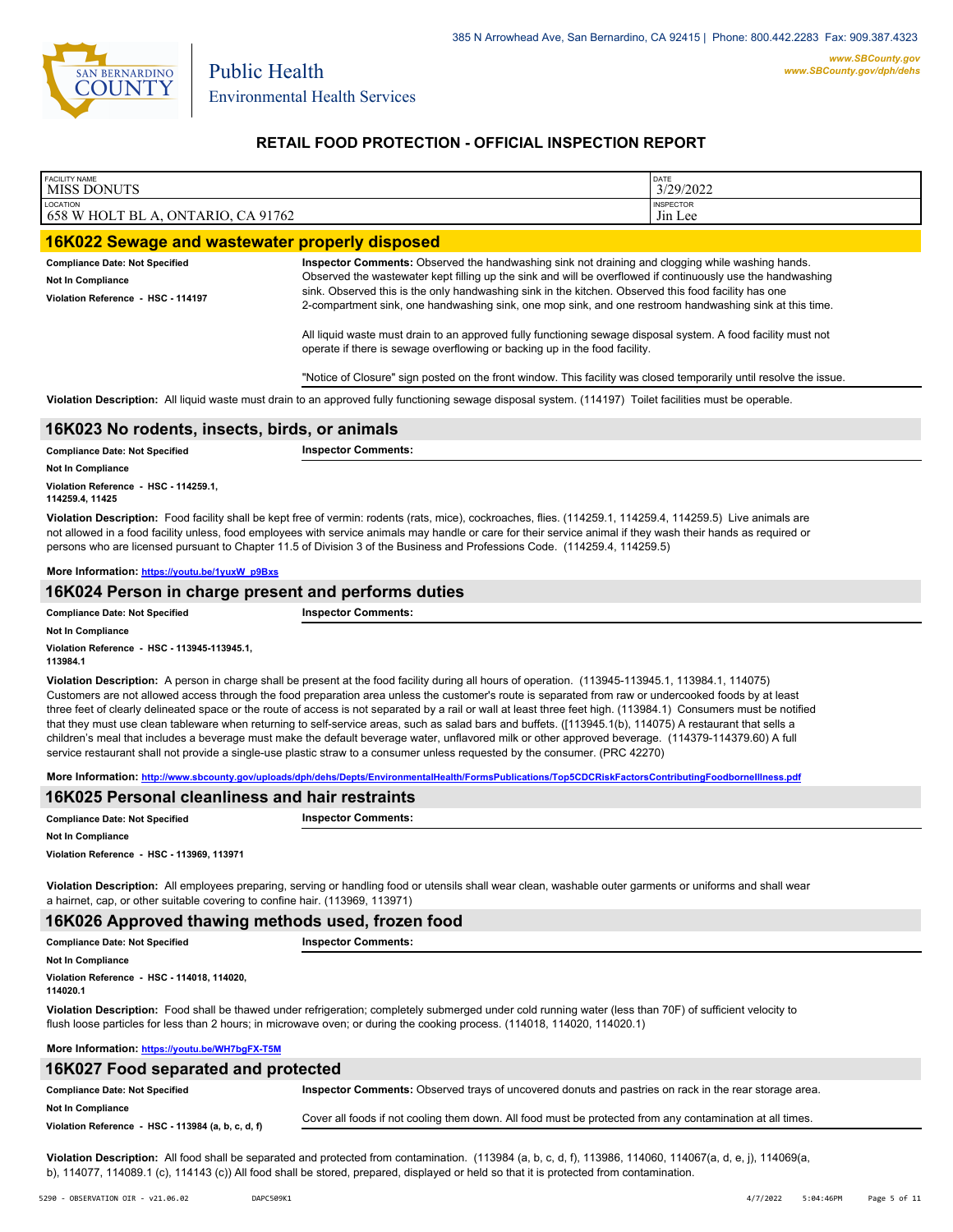

# **RETAIL FOOD PROTECTION - OFFICIAL INSPECTION REPORT**

| <b>FACILITY NAME</b><br><b>MISS DONUTS</b>                                                                                                                                                                                                                                                                                                                                                                                                                   |                                                                                                                                                                                                                                                                                                                                                                                                                                                                                                                                                                                                                                   | DATE<br>3/29/2022 |  |
|--------------------------------------------------------------------------------------------------------------------------------------------------------------------------------------------------------------------------------------------------------------------------------------------------------------------------------------------------------------------------------------------------------------------------------------------------------------|-----------------------------------------------------------------------------------------------------------------------------------------------------------------------------------------------------------------------------------------------------------------------------------------------------------------------------------------------------------------------------------------------------------------------------------------------------------------------------------------------------------------------------------------------------------------------------------------------------------------------------------|-------------------|--|
| LOCATION                                                                                                                                                                                                                                                                                                                                                                                                                                                     |                                                                                                                                                                                                                                                                                                                                                                                                                                                                                                                                                                                                                                   | <b>INSPECTOR</b>  |  |
| 658 W HOLT BL A, ONTARIO, CA 91762                                                                                                                                                                                                                                                                                                                                                                                                                           |                                                                                                                                                                                                                                                                                                                                                                                                                                                                                                                                                                                                                                   | Jin Lee           |  |
| 16K022 Sewage and wastewater properly disposed                                                                                                                                                                                                                                                                                                                                                                                                               |                                                                                                                                                                                                                                                                                                                                                                                                                                                                                                                                                                                                                                   |                   |  |
| <b>Compliance Date: Not Specified</b><br>Not In Compliance<br>Violation Reference - HSC - 114197                                                                                                                                                                                                                                                                                                                                                             | Inspector Comments: Observed the handwashing sink not draining and clogging while washing hands.<br>Observed the wastewater kept filling up the sink and will be overflowed if continuously use the handwashing<br>sink. Observed this is the only handwashing sink in the kitchen. Observed this food facility has one<br>2-compartment sink, one handwashing sink, one mop sink, and one restroom handwashing sink at this time.<br>All liquid waste must drain to an approved fully functioning sewage disposal system. A food facility must not<br>operate if there is sewage overflowing or backing up in the food facility. |                   |  |
| "Notice of Closure" sign posted on the front window. This facility was closed temporarily until resolve the issue.                                                                                                                                                                                                                                                                                                                                           |                                                                                                                                                                                                                                                                                                                                                                                                                                                                                                                                                                                                                                   |                   |  |
|                                                                                                                                                                                                                                                                                                                                                                                                                                                              | Violation Description: All liquid waste must drain to an approved fully functioning sewage disposal system. (114197) Toilet facilities must be operable.                                                                                                                                                                                                                                                                                                                                                                                                                                                                          |                   |  |
| 16K023 No rodents, insects, birds, or animals                                                                                                                                                                                                                                                                                                                                                                                                                |                                                                                                                                                                                                                                                                                                                                                                                                                                                                                                                                                                                                                                   |                   |  |
| <b>Compliance Date: Not Specified</b>                                                                                                                                                                                                                                                                                                                                                                                                                        | <b>Inspector Comments:</b>                                                                                                                                                                                                                                                                                                                                                                                                                                                                                                                                                                                                        |                   |  |
| Not In Compliance                                                                                                                                                                                                                                                                                                                                                                                                                                            |                                                                                                                                                                                                                                                                                                                                                                                                                                                                                                                                                                                                                                   |                   |  |
| Violation Reference - HSC - 114259.1,<br>114259.4, 11425                                                                                                                                                                                                                                                                                                                                                                                                     |                                                                                                                                                                                                                                                                                                                                                                                                                                                                                                                                                                                                                                   |                   |  |
| Violation Description: Food facility shall be kept free of vermin: rodents (rats, mice), cockroaches, flies. (114259.1, 114259.4, 114259.5) Live animals are<br>not allowed in a food facility unless, food employees with service animals may handle or care for their service animal if they wash their hands as required or<br>persons who are licensed pursuant to Chapter 11.5 of Division 3 of the Business and Professions Code. (114259.4, 114259.5) |                                                                                                                                                                                                                                                                                                                                                                                                                                                                                                                                                                                                                                   |                   |  |
| More Information: https://youtu.be/1yuxW p9Bxs                                                                                                                                                                                                                                                                                                                                                                                                               |                                                                                                                                                                                                                                                                                                                                                                                                                                                                                                                                                                                                                                   |                   |  |
| 16K024 Person in charge present and performs duties                                                                                                                                                                                                                                                                                                                                                                                                          |                                                                                                                                                                                                                                                                                                                                                                                                                                                                                                                                                                                                                                   |                   |  |
| <b>Compliance Date: Not Specified</b>                                                                                                                                                                                                                                                                                                                                                                                                                        | <b>Inspector Comments:</b>                                                                                                                                                                                                                                                                                                                                                                                                                                                                                                                                                                                                        |                   |  |
| Not In Compliance                                                                                                                                                                                                                                                                                                                                                                                                                                            |                                                                                                                                                                                                                                                                                                                                                                                                                                                                                                                                                                                                                                   |                   |  |
| 113984.1                                                                                                                                                                                                                                                                                                                                                                                                                                                     |                                                                                                                                                                                                                                                                                                                                                                                                                                                                                                                                                                                                                                   |                   |  |

**Violation Description:** A person in charge shall be present at the food facility during all hours of operation. (113945-113945.1, 113984.1, 114075) Customers are not allowed access through the food preparation area unless the customer's route is separated from raw or undercooked foods by at least three feet of clearly delineated space or the route of access is not separated by a rail or wall at least three feet high. (113984.1) Consumers must be notified that they must use clean tableware when returning to self-service areas, such as salad bars and buffets. ([113945.1(b), 114075) A restaurant that sells a children's meal that includes a beverage must make the default beverage water, unflavored milk or other approved beverage. (114379-114379.60) A full service restaurant shall not provide a single-use plastic straw to a consumer unless requested by the consumer. (PRC 42270)

**More Information: <http://www.sbcounty.gov/uploads/dph/dehs/Depts/EnvironmentalHealth/FormsPublications/Top5CDCRiskFactorsContributingFoodborneIllness.pdf>**

| 16K025 Personal cleanliness and hair restraints |                            |  |
|-------------------------------------------------|----------------------------|--|
| <b>Compliance Date: Not Specified</b>           | <b>Inspector Comments:</b> |  |
| <b>Not In Compliance</b>                        |                            |  |

**Violation Reference - HSC - 113969, 113971**

**Violation Description:** All employees preparing, serving or handling food or utensils shall wear clean, washable outer garments or uniforms and shall wear a hairnet, cap, or other suitable covering to confine hair. (113969, 113971)

| 16K026 Approved thawing methods used, frozen food      |                            |  |
|--------------------------------------------------------|----------------------------|--|
| <b>Compliance Date: Not Specified</b>                  | <b>Inspector Comments:</b> |  |
| <b>Not In Compliance</b>                               |                            |  |
| Violation Reference - HSC - 114018, 114020.<br>1140201 |                            |  |

**Violation Description:** Food shall be thawed under refrigeration; completely submerged under cold running water (less than 70F) of sufficient velocity to flush loose particles for less than 2 hours; in microwave oven; or during the cooking process. (114018, 114020, 114020.1)

**More Information: <https://youtu.be/WH7bgFX-T5M>**

| 16K027 Food separated and protected                |                                                                                                           |  |
|----------------------------------------------------|-----------------------------------------------------------------------------------------------------------|--|
| <b>Compliance Date: Not Specified</b>              | Inspector Comments: Observed trays of uncovered donuts and pastries on rack in the rear storage area.     |  |
| <b>Not In Compliance</b>                           | Cover all foods if not cooling them down. All food must be protected from any contamination at all times. |  |
| Violation Reference - HSC - 113984 (a, b, c, d, f) |                                                                                                           |  |

**Violation Description:** All food shall be separated and protected from contamination. (113984 (a, b, c, d, f), 113986, 114060, 114067(a, d, e, j), 114069(a, b), 114077, 114089.1 (c), 114143 (c)) All food shall be stored, prepared, displayed or held so that it is protected from contamination.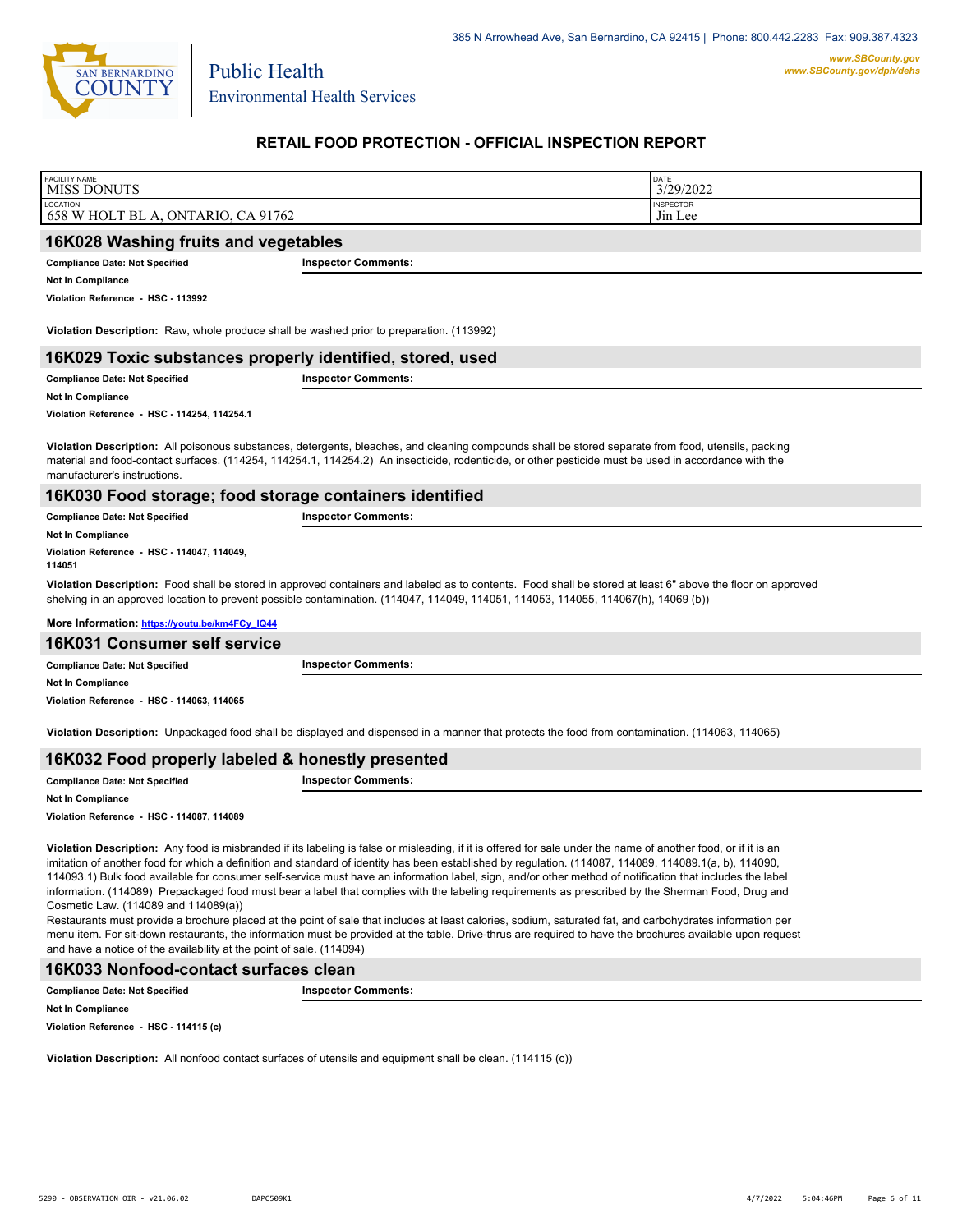

Environmental Health Services

Public Health

# **RETAIL FOOD PROTECTION - OFFICIAL INSPECTION REPORT**

| <b>FACILITY NAME</b><br><b>MISS DONUTS</b>                                                                                                                                                                                                                                                                                                                                                             |                                                                                                                                                 | DATE<br>3/29/2022           |  |
|--------------------------------------------------------------------------------------------------------------------------------------------------------------------------------------------------------------------------------------------------------------------------------------------------------------------------------------------------------------------------------------------------------|-------------------------------------------------------------------------------------------------------------------------------------------------|-----------------------------|--|
| LOCATION<br>658 W HOLT BL A, ONTARIO, CA 91762                                                                                                                                                                                                                                                                                                                                                         |                                                                                                                                                 | <b>INSPECTOR</b><br>Jin Lee |  |
| 16K028 Washing fruits and vegetables                                                                                                                                                                                                                                                                                                                                                                   |                                                                                                                                                 |                             |  |
| <b>Compliance Date: Not Specified</b>                                                                                                                                                                                                                                                                                                                                                                  | <b>Inspector Comments:</b>                                                                                                                      |                             |  |
| <b>Not In Compliance</b>                                                                                                                                                                                                                                                                                                                                                                               |                                                                                                                                                 |                             |  |
| Violation Reference - HSC - 113992                                                                                                                                                                                                                                                                                                                                                                     |                                                                                                                                                 |                             |  |
| Violation Description: Raw, whole produce shall be washed prior to preparation. (113992)                                                                                                                                                                                                                                                                                                               |                                                                                                                                                 |                             |  |
| 16K029 Toxic substances properly identified, stored, used                                                                                                                                                                                                                                                                                                                                              |                                                                                                                                                 |                             |  |
| <b>Compliance Date: Not Specified</b>                                                                                                                                                                                                                                                                                                                                                                  | <b>Inspector Comments:</b>                                                                                                                      |                             |  |
| <b>Not In Compliance</b>                                                                                                                                                                                                                                                                                                                                                                               |                                                                                                                                                 |                             |  |
| Violation Reference - HSC - 114254, 114254.1                                                                                                                                                                                                                                                                                                                                                           |                                                                                                                                                 |                             |  |
| Violation Description: All poisonous substances, detergents, bleaches, and cleaning compounds shall be stored separate from food, utensils, packing<br>material and food-contact surfaces. (114254, 114254.1, 114254.2) An insecticide, rodenticide, or other pesticide must be used in accordance with the<br>manufacturer's instructions.<br>16K030 Food storage; food storage containers identified |                                                                                                                                                 |                             |  |
| <b>Compliance Date: Not Specified</b>                                                                                                                                                                                                                                                                                                                                                                  | <b>Inspector Comments:</b>                                                                                                                      |                             |  |
| <b>Not In Compliance</b>                                                                                                                                                                                                                                                                                                                                                                               |                                                                                                                                                 |                             |  |
| Violation Reference - HSC - 114047, 114049,<br>114051                                                                                                                                                                                                                                                                                                                                                  |                                                                                                                                                 |                             |  |
| Violation Description: Food shall be stored in approved containers and labeled as to contents. Food shall be stored at least 6" above the floor on approved<br>shelving in an approved location to prevent possible contamination. (114047, 114049, 114051, 114053, 114055, 114067(h), 14069 (b))                                                                                                      |                                                                                                                                                 |                             |  |
| More Information: https://youtu.be/km4FCy IQ44                                                                                                                                                                                                                                                                                                                                                         |                                                                                                                                                 |                             |  |
| 16K031 Consumer self service                                                                                                                                                                                                                                                                                                                                                                           |                                                                                                                                                 |                             |  |
| <b>Compliance Date: Not Specified</b>                                                                                                                                                                                                                                                                                                                                                                  | <b>Inspector Comments:</b>                                                                                                                      |                             |  |
| Not In Compliance                                                                                                                                                                                                                                                                                                                                                                                      |                                                                                                                                                 |                             |  |
| Violation Reference - HSC - 114063, 114065                                                                                                                                                                                                                                                                                                                                                             |                                                                                                                                                 |                             |  |
|                                                                                                                                                                                                                                                                                                                                                                                                        | Violation Description: Unpackaged food shall be displayed and dispensed in a manner that protects the food from contamination. (114063, 114065) |                             |  |

### **16K032 Food properly labeled & honestly presented**

| <b>Compliance Date: Not Specified</b> | <b>Inspector Comments:</b> |
|---------------------------------------|----------------------------|
| <b>Not In Compliance</b>              |                            |

**Violation Reference - HSC - 114087, 114089**

**Violation Description:** Any food is misbranded if its labeling is false or misleading, if it is offered for sale under the name of another food, or if it is an imitation of another food for which a definition and standard of identity has been established by regulation. (114087, 114089, 114089.1(a, b), 114090, 114093.1) Bulk food available for consumer self-service must have an information label, sign, and/or other method of notification that includes the label information. (114089) Prepackaged food must bear a label that complies with the labeling requirements as prescribed by the Sherman Food, Drug and Cosmetic Law. (114089 and 114089(a))

Restaurants must provide a brochure placed at the point of sale that includes at least calories, sodium, saturated fat, and carbohydrates information per menu item. For sit-down restaurants, the information must be provided at the table. Drive-thrus are required to have the brochures available upon request and have a notice of the availability at the point of sale. (114094)

#### **16K033 Nonfood-contact surfaces clean**

**Compliance Date: Not Specified Inspector Comments:** 

**Not In Compliance**

**Violation Reference - HSC - 114115 (c)**

**Violation Description:** All nonfood contact surfaces of utensils and equipment shall be clean. (114115 (c))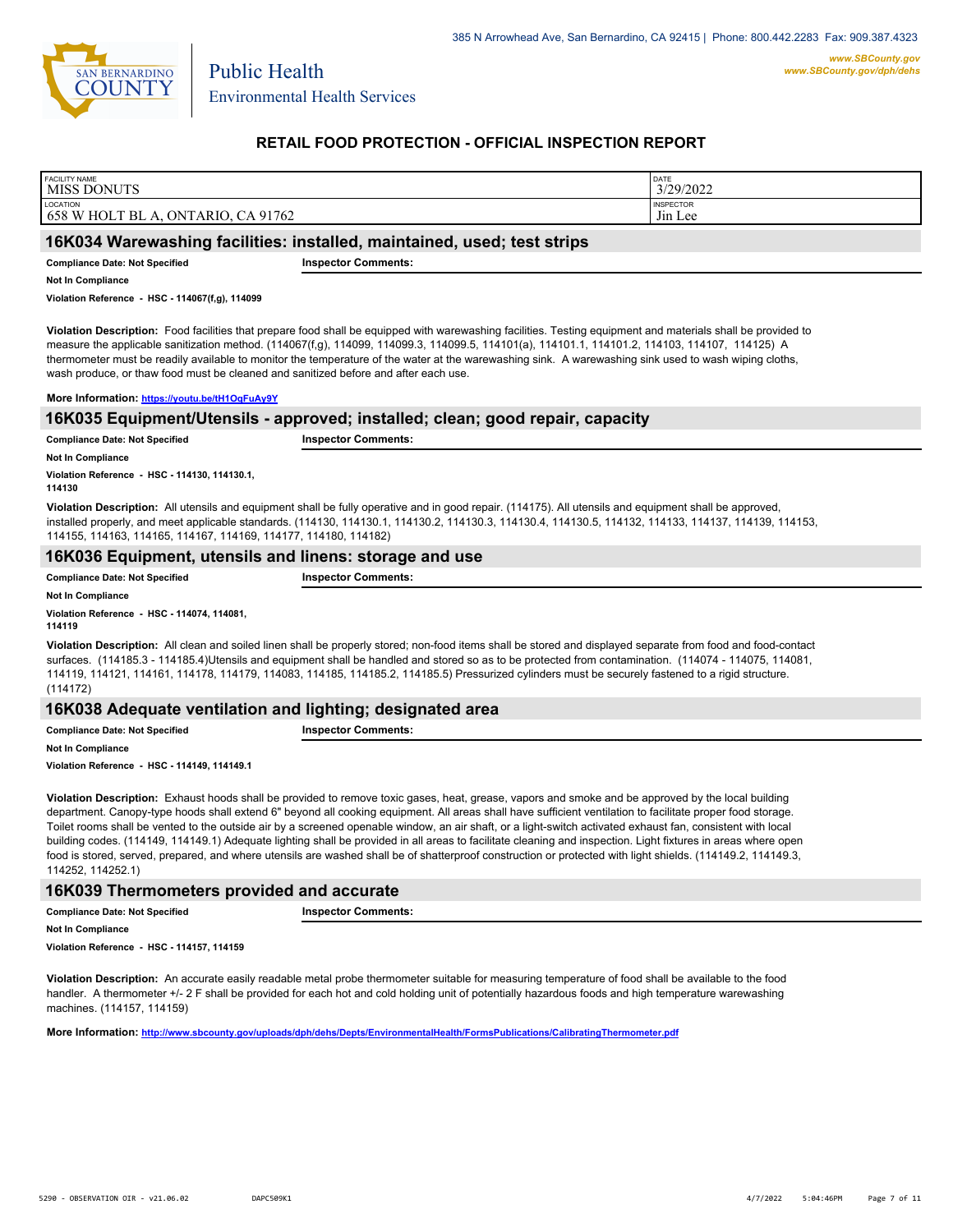

Environmental Health Services

Public Health

## **RETAIL FOOD PROTECTION - OFFICIAL INSPECTION REPORT**

| <b>FACILITY NAME</b><br><b>MISS DONUTS</b>                              | DATE<br>3/29/2022 |
|-------------------------------------------------------------------------|-------------------|
| <b>LOCATION</b>                                                         | <b>INSPECTOR</b>  |
| 91762 ہ<br>$T$ BL A.<br>658<br>`W HOL 1<br>$ON^{\circ}$<br>TARIO.<br>СA | $-1$<br>Jin Lee   |

### **16K034 Warewashing facilities: installed, maintained, used; test strips**

**Compliance Date: Not Specified Inspector Comments:** 

**Not In Compliance**

**Violation Reference - HSC - 114067(f,g), 114099**

**Violation Description:** Food facilities that prepare food shall be equipped with warewashing facilities. Testing equipment and materials shall be provided to measure the applicable sanitization method. (114067(f,g), 114099, 114099.3, 114099.5, 114101(a), 114101.1, 114101.2, 114103, 114107, 114125) A thermometer must be readily available to monitor the temperature of the water at the warewashing sink. A warewashing sink used to wash wiping cloths, wash produce, or thaw food must be cleaned and sanitized before and after each use.

**More Information: <https://youtu.be/tH1OqFuAy9Y>**

### **16K035 Equipment/Utensils - approved; installed; clean; good repair, capacity**

**Compliance Date: Not Specified Inspector Comments:** 

**Not In Compliance**

**Violation Reference - HSC - 114130, 114130.1, 114130**

**Violation Description:** All utensils and equipment shall be fully operative and in good repair. (114175). All utensils and equipment shall be approved, installed properly, and meet applicable standards. (114130, 114130.1, 114130.2, 114130.3, 114130.4, 114130.5, 114132, 114133, 114137, 114139, 114153, 114155, 114163, 114165, 114167, 114169, 114177, 114180, 114182)

# **16K036 Equipment, utensils and linens: storage and use**

**Compliance Date: Not Specified Inspector Comments:** 

**Not In Compliance**

**Violation Reference - HSC - 114074, 114081, 114119**

**Violation Description:** All clean and soiled linen shall be properly stored; non-food items shall be stored and displayed separate from food and food-contact surfaces. (114185.3 - 114185.4)Utensils and equipment shall be handled and stored so as to be protected from contamination. (114074 - 114075, 114081, 114119, 114121, 114161, 114178, 114179, 114083, 114185, 114185.2, 114185.5) Pressurized cylinders must be securely fastened to a rigid structure. (114172)

## **16K038 Adequate ventilation and lighting; designated area**

**Compliance Date: Not Specified Inspector Comments:** 

**Not In Compliance**

**Violation Reference - HSC - 114149, 114149.1**

**Violation Description:** Exhaust hoods shall be provided to remove toxic gases, heat, grease, vapors and smoke and be approved by the local building department. Canopy-type hoods shall extend 6" beyond all cooking equipment. All areas shall have sufficient ventilation to facilitate proper food storage. Toilet rooms shall be vented to the outside air by a screened openable window, an air shaft, or a light-switch activated exhaust fan, consistent with local building codes. (114149, 114149.1) Adequate lighting shall be provided in all areas to facilitate cleaning and inspection. Light fixtures in areas where open food is stored, served, prepared, and where utensils are washed shall be of shatterproof construction or protected with light shields. (114149.2, 114149.3, 114252, 114252.1)

# **16K039 Thermometers provided and accurate**

**Compliance Date: Not Specified Inspector Comments:** 

**Not In Compliance**

**Violation Reference - HSC - 114157, 114159**

**Violation Description:** An accurate easily readable metal probe thermometer suitable for measuring temperature of food shall be available to the food handler. A thermometer +/- 2 F shall be provided for each hot and cold holding unit of potentially hazardous foods and high temperature warewashing machines. (114157, 114159)

**More Information: <http://www.sbcounty.gov/uploads/dph/dehs/Depts/EnvironmentalHealth/FormsPublications/CalibratingThermometer.pdf>**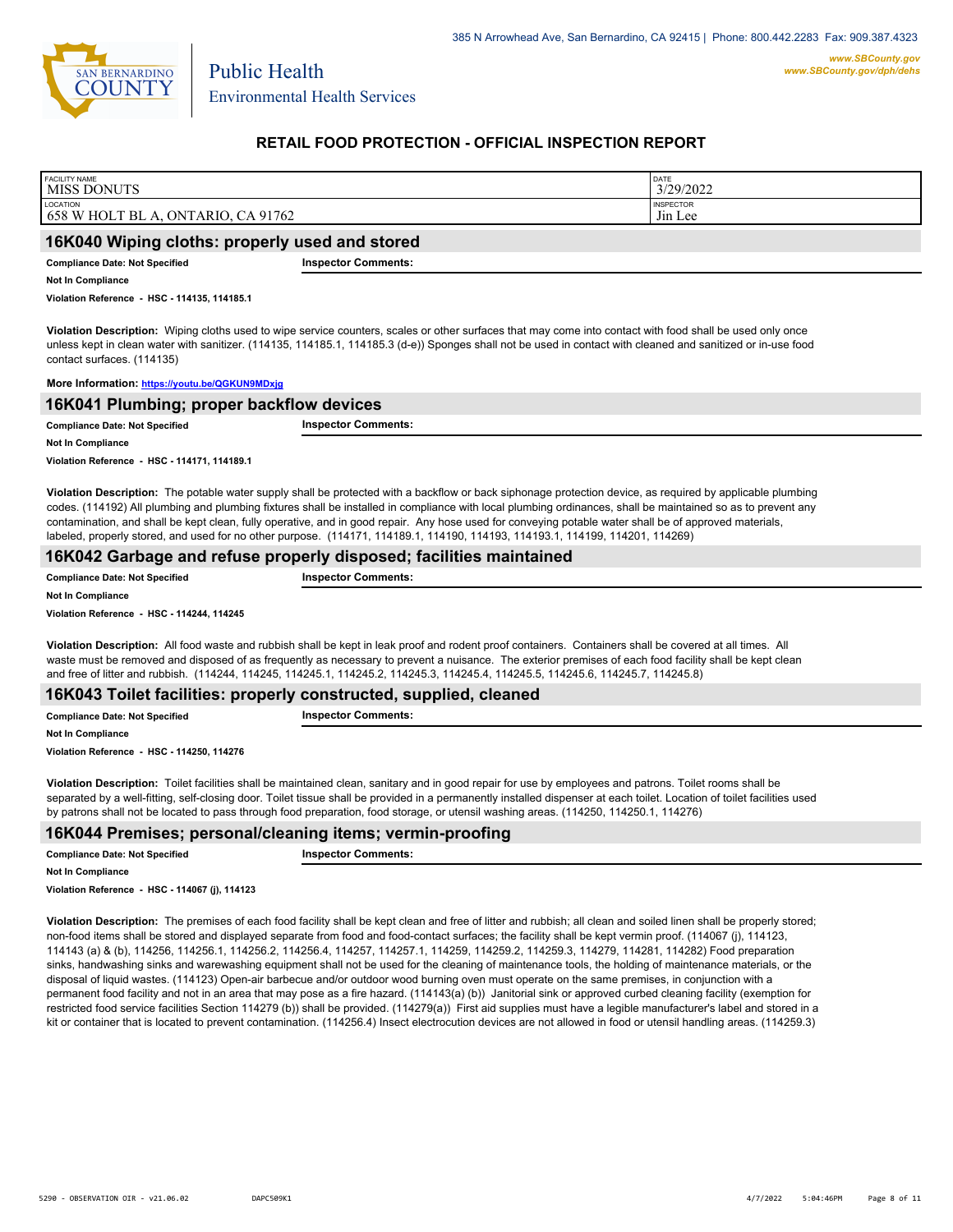

## **RETAIL FOOD PROTECTION - OFFICIAL INSPECTION REPORT**

| <b>FACILITY NAME</b>                           | DATE                |
|------------------------------------------------|---------------------|
| MISS DONUTS                                    | 3/29/2022           |
| LOCATION                                       | <b>INSPECTOR</b>    |
| 658 W HOLT BL A, ONTARIO, CA 91762             | J <sub>in</sub> Lee |
| 16K040 Wiping cloths: properly used and stored |                     |

**Compliance Date: Not Specified Inspector Comments:** 

**Not In Compliance**

**Violation Reference - HSC - 114135, 114185.1**

**Violation Description:** Wiping cloths used to wipe service counters, scales or other surfaces that may come into contact with food shall be used only once unless kept in clean water with sanitizer. (114135, 114185.1, 114185.3 (d-e)) Sponges shall not be used in contact with cleaned and sanitized or in-use food contact surfaces. (114135)

#### **More Information: <https://youtu.be/QGKUN9MDxjg>**

| 16K041 Plumbing; proper backflow devices |                            |  |
|------------------------------------------|----------------------------|--|
| <b>Compliance Date: Not Specified</b>    | <b>Inspector Comments:</b> |  |
| <b>Not In Compliance</b>                 |                            |  |
|                                          |                            |  |

**Violation Reference - HSC - 114171, 114189.1**

**Violation Description:** The potable water supply shall be protected with a backflow or back siphonage protection device, as required by applicable plumbing codes. (114192) All plumbing and plumbing fixtures shall be installed in compliance with local plumbing ordinances, shall be maintained so as to prevent any contamination, and shall be kept clean, fully operative, and in good repair. Any hose used for conveying potable water shall be of approved materials, labeled, properly stored, and used for no other purpose. (114171, 114189.1, 114190, 114193, 114193.1, 114199, 114201, 114269)

### **16K042 Garbage and refuse properly disposed; facilities maintained**

**Compliance Date: Not Specified Inspector Comments:** 

**Not In Compliance**

**Violation Reference - HSC - 114244, 114245**

**Violation Description:** All food waste and rubbish shall be kept in leak proof and rodent proof containers. Containers shall be covered at all times. All waste must be removed and disposed of as frequently as necessary to prevent a nuisance. The exterior premises of each food facility shall be kept clean and free of litter and rubbish. (114244, 114245, 114245.1, 114245.2, 114245.3, 114245.4, 114245.5, 114245.6, 114245.7, 114245.8)

## **16K043 Toilet facilities: properly constructed, supplied, cleaned**

**Compliance Date: Not Specified Inspector Comments: Not In Compliance**

**Violation Reference - HSC - 114250, 114276**

**Violation Description:** Toilet facilities shall be maintained clean, sanitary and in good repair for use by employees and patrons. Toilet rooms shall be separated by a well-fitting, self-closing door. Toilet tissue shall be provided in a permanently installed dispenser at each toilet. Location of toilet facilities used by patrons shall not be located to pass through food preparation, food storage, or utensil washing areas. (114250, 114250.1, 114276)

### **16K044 Premises; personal/cleaning items; vermin-proofing**

**Compliance Date: Not Specified Inspector Comments:** 

**Not In Compliance**

**Violation Reference - HSC - 114067 (j), 114123**

**Violation Description:** The premises of each food facility shall be kept clean and free of litter and rubbish; all clean and soiled linen shall be properly stored; non-food items shall be stored and displayed separate from food and food-contact surfaces; the facility shall be kept vermin proof. (114067 (j), 114123, 114143 (a) & (b), 114256, 114256.1, 114256.2, 114256.4, 114257, 114257.1, 114259, 114259.2, 114259.3, 114279, 114281, 114282) Food preparation sinks, handwashing sinks and warewashing equipment shall not be used for the cleaning of maintenance tools, the holding of maintenance materials, or the disposal of liquid wastes. (114123) Open-air barbecue and/or outdoor wood burning oven must operate on the same premises, in conjunction with a permanent food facility and not in an area that may pose as a fire hazard. (114143(a) (b)) Janitorial sink or approved curbed cleaning facility (exemption for restricted food service facilities Section 114279 (b)) shall be provided. (114279(a)) First aid supplies must have a legible manufacturer's label and stored in a kit or container that is located to prevent contamination. (114256.4) Insect electrocution devices are not allowed in food or utensil handling areas. (114259.3)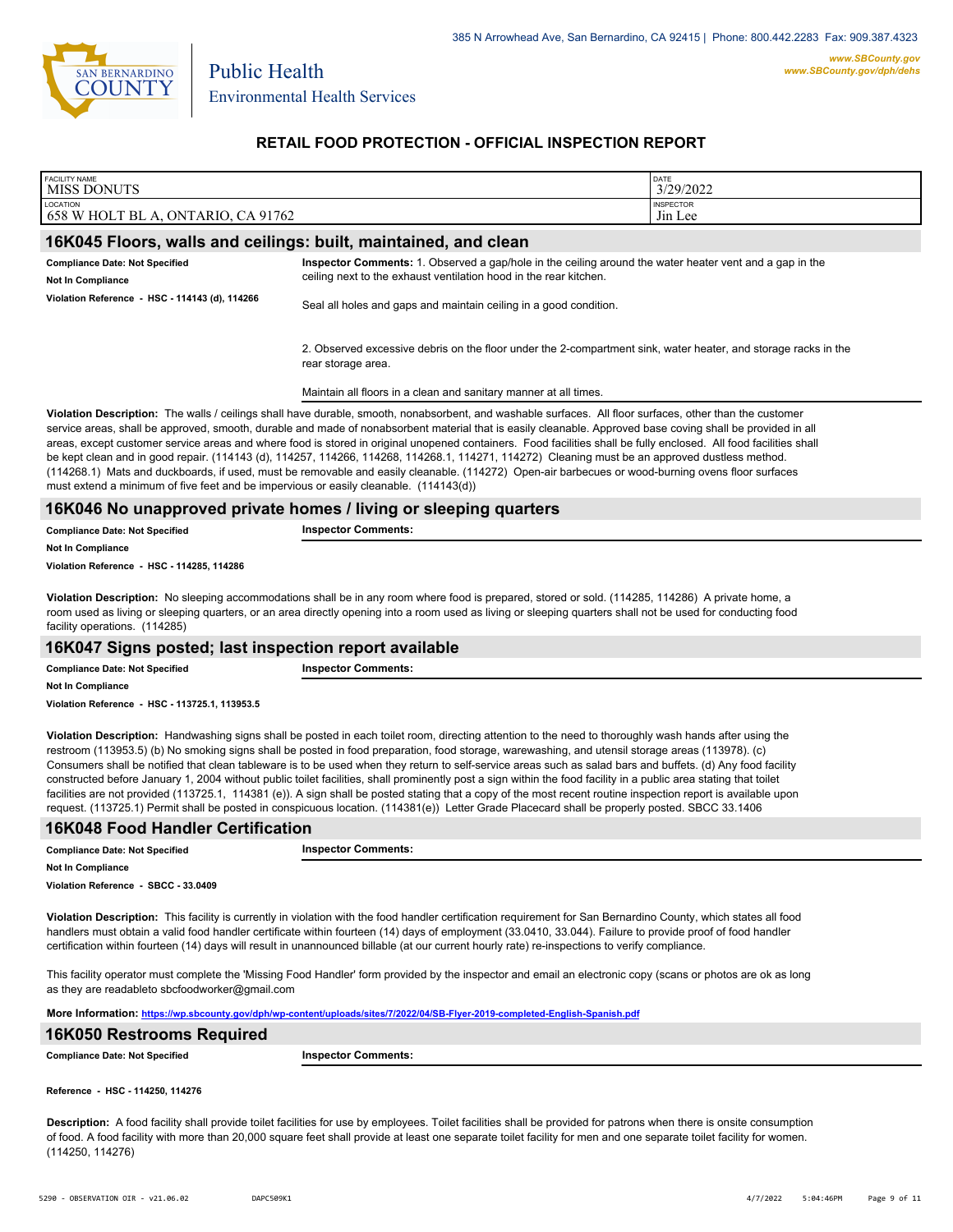

# **RETAIL FOOD PROTECTION - OFFICIAL INSPECTION REPORT**

| <b>FACILITY NAME</b><br><b>MISS DONUTS</b>                                                                                                                                                                                                                                                                                                                                                                                                                                                                                                                                                                                                                                                                                                                                                                                                                                                                                                                      |                                                                                                                                                                                                                                                                                                                                                                                                                                                                                                                                                                                                                                                                                                                                                                                                     | DATE<br>3/29/2022           |  |
|-----------------------------------------------------------------------------------------------------------------------------------------------------------------------------------------------------------------------------------------------------------------------------------------------------------------------------------------------------------------------------------------------------------------------------------------------------------------------------------------------------------------------------------------------------------------------------------------------------------------------------------------------------------------------------------------------------------------------------------------------------------------------------------------------------------------------------------------------------------------------------------------------------------------------------------------------------------------|-----------------------------------------------------------------------------------------------------------------------------------------------------------------------------------------------------------------------------------------------------------------------------------------------------------------------------------------------------------------------------------------------------------------------------------------------------------------------------------------------------------------------------------------------------------------------------------------------------------------------------------------------------------------------------------------------------------------------------------------------------------------------------------------------------|-----------------------------|--|
| LOCATION<br>658 W HOLT BL A, ONTARIO, CA 91762                                                                                                                                                                                                                                                                                                                                                                                                                                                                                                                                                                                                                                                                                                                                                                                                                                                                                                                  |                                                                                                                                                                                                                                                                                                                                                                                                                                                                                                                                                                                                                                                                                                                                                                                                     | <b>INSPECTOR</b><br>Jin Lee |  |
| 16K045 Floors, walls and ceilings: built, maintained, and clean                                                                                                                                                                                                                                                                                                                                                                                                                                                                                                                                                                                                                                                                                                                                                                                                                                                                                                 |                                                                                                                                                                                                                                                                                                                                                                                                                                                                                                                                                                                                                                                                                                                                                                                                     |                             |  |
| <b>Compliance Date: Not Specified</b>                                                                                                                                                                                                                                                                                                                                                                                                                                                                                                                                                                                                                                                                                                                                                                                                                                                                                                                           | Inspector Comments: 1. Observed a gap/hole in the ceiling around the water heater vent and a gap in the                                                                                                                                                                                                                                                                                                                                                                                                                                                                                                                                                                                                                                                                                             |                             |  |
| <b>Not In Compliance</b>                                                                                                                                                                                                                                                                                                                                                                                                                                                                                                                                                                                                                                                                                                                                                                                                                                                                                                                                        | ceiling next to the exhaust ventilation hood in the rear kitchen.                                                                                                                                                                                                                                                                                                                                                                                                                                                                                                                                                                                                                                                                                                                                   |                             |  |
| Violation Reference - HSC - 114143 (d), 114266                                                                                                                                                                                                                                                                                                                                                                                                                                                                                                                                                                                                                                                                                                                                                                                                                                                                                                                  | Seal all holes and gaps and maintain ceiling in a good condition.                                                                                                                                                                                                                                                                                                                                                                                                                                                                                                                                                                                                                                                                                                                                   |                             |  |
|                                                                                                                                                                                                                                                                                                                                                                                                                                                                                                                                                                                                                                                                                                                                                                                                                                                                                                                                                                 | 2. Observed excessive debris on the floor under the 2-compartment sink, water heater, and storage racks in the<br>rear storage area.                                                                                                                                                                                                                                                                                                                                                                                                                                                                                                                                                                                                                                                                |                             |  |
|                                                                                                                                                                                                                                                                                                                                                                                                                                                                                                                                                                                                                                                                                                                                                                                                                                                                                                                                                                 | Maintain all floors in a clean and sanitary manner at all times.                                                                                                                                                                                                                                                                                                                                                                                                                                                                                                                                                                                                                                                                                                                                    |                             |  |
| must extend a minimum of five feet and be impervious or easily cleanable. $(114143(d))$                                                                                                                                                                                                                                                                                                                                                                                                                                                                                                                                                                                                                                                                                                                                                                                                                                                                         | Violation Description: The walls / ceilings shall have durable, smooth, nonabsorbent, and washable surfaces. All floor surfaces, other than the customer<br>service areas, shall be approved, smooth, durable and made of nonabsorbent material that is easily cleanable. Approved base coving shall be provided in all<br>areas, except customer service areas and where food is stored in original unopened containers. Food facilities shall be fully enclosed. All food facilities shall<br>be kept clean and in good repair. (114143 (d), 114257, 114266, 114268, 114268.1, 114271, 114272) Cleaning must be an approved dustless method.<br>(114268.1) Mats and duckboards, if used, must be removable and easily cleanable. (114272) Open-air barbecues or wood-burning ovens floor surfaces |                             |  |
|                                                                                                                                                                                                                                                                                                                                                                                                                                                                                                                                                                                                                                                                                                                                                                                                                                                                                                                                                                 | 16K046 No unapproved private homes / living or sleeping quarters                                                                                                                                                                                                                                                                                                                                                                                                                                                                                                                                                                                                                                                                                                                                    |                             |  |
| <b>Compliance Date: Not Specified</b>                                                                                                                                                                                                                                                                                                                                                                                                                                                                                                                                                                                                                                                                                                                                                                                                                                                                                                                           | <b>Inspector Comments:</b>                                                                                                                                                                                                                                                                                                                                                                                                                                                                                                                                                                                                                                                                                                                                                                          |                             |  |
| <b>Not In Compliance</b>                                                                                                                                                                                                                                                                                                                                                                                                                                                                                                                                                                                                                                                                                                                                                                                                                                                                                                                                        |                                                                                                                                                                                                                                                                                                                                                                                                                                                                                                                                                                                                                                                                                                                                                                                                     |                             |  |
| Violation Reference - HSC - 114285, 114286                                                                                                                                                                                                                                                                                                                                                                                                                                                                                                                                                                                                                                                                                                                                                                                                                                                                                                                      |                                                                                                                                                                                                                                                                                                                                                                                                                                                                                                                                                                                                                                                                                                                                                                                                     |                             |  |
| Violation Description: No sleeping accommodations shall be in any room where food is prepared, stored or sold. (114285, 114286) A private home, a<br>room used as living or sleeping quarters, or an area directly opening into a room used as living or sleeping quarters shall not be used for conducting food<br>facility operations. (114285)                                                                                                                                                                                                                                                                                                                                                                                                                                                                                                                                                                                                               |                                                                                                                                                                                                                                                                                                                                                                                                                                                                                                                                                                                                                                                                                                                                                                                                     |                             |  |
| 16K047 Signs posted; last inspection report available                                                                                                                                                                                                                                                                                                                                                                                                                                                                                                                                                                                                                                                                                                                                                                                                                                                                                                           |                                                                                                                                                                                                                                                                                                                                                                                                                                                                                                                                                                                                                                                                                                                                                                                                     |                             |  |
| <b>Compliance Date: Not Specified</b>                                                                                                                                                                                                                                                                                                                                                                                                                                                                                                                                                                                                                                                                                                                                                                                                                                                                                                                           | <b>Inspector Comments:</b>                                                                                                                                                                                                                                                                                                                                                                                                                                                                                                                                                                                                                                                                                                                                                                          |                             |  |
| <b>Not In Compliance</b>                                                                                                                                                                                                                                                                                                                                                                                                                                                                                                                                                                                                                                                                                                                                                                                                                                                                                                                                        |                                                                                                                                                                                                                                                                                                                                                                                                                                                                                                                                                                                                                                                                                                                                                                                                     |                             |  |
| Violation Reference - HSC - 113725.1, 113953.5                                                                                                                                                                                                                                                                                                                                                                                                                                                                                                                                                                                                                                                                                                                                                                                                                                                                                                                  |                                                                                                                                                                                                                                                                                                                                                                                                                                                                                                                                                                                                                                                                                                                                                                                                     |                             |  |
| Violation Description: Handwashing signs shall be posted in each toilet room, directing attention to the need to thoroughly wash hands after using the<br>restroom (113953.5) (b) No smoking signs shall be posted in food preparation, food storage, warewashing, and utensil storage areas (113978). (c)<br>Consumers shall be notified that clean tableware is to be used when they return to self-service areas such as salad bars and buffets. (d) Any food facility<br>constructed before January 1, 2004 without public toilet facilities, shall prominently post a sign within the food facility in a public area stating that toilet<br>facilities are not provided (113725.1, 114381 (e)). A sign shall be posted stating that a copy of the most recent routine inspection report is available upon<br>request. (113725.1) Permit shall be posted in conspicuous location. (114381(e)) Letter Grade Placecard shall be properly posted. SBCC 33.1406 |                                                                                                                                                                                                                                                                                                                                                                                                                                                                                                                                                                                                                                                                                                                                                                                                     |                             |  |
| <b>16K048 Food Handler Certification</b>                                                                                                                                                                                                                                                                                                                                                                                                                                                                                                                                                                                                                                                                                                                                                                                                                                                                                                                        |                                                                                                                                                                                                                                                                                                                                                                                                                                                                                                                                                                                                                                                                                                                                                                                                     |                             |  |
| <b>Compliance Date: Not Specified</b>                                                                                                                                                                                                                                                                                                                                                                                                                                                                                                                                                                                                                                                                                                                                                                                                                                                                                                                           | <b>Inspector Comments:</b>                                                                                                                                                                                                                                                                                                                                                                                                                                                                                                                                                                                                                                                                                                                                                                          |                             |  |
| <b>Not In Compliance</b><br>Violation Reference - SBCC - 33.0409                                                                                                                                                                                                                                                                                                                                                                                                                                                                                                                                                                                                                                                                                                                                                                                                                                                                                                |                                                                                                                                                                                                                                                                                                                                                                                                                                                                                                                                                                                                                                                                                                                                                                                                     |                             |  |
|                                                                                                                                                                                                                                                                                                                                                                                                                                                                                                                                                                                                                                                                                                                                                                                                                                                                                                                                                                 | Violation Description: This facility is currently in violation with the food handler certification requirement for San Bernardino County, which states all food<br>handlers must obtain a valid food handler certificate within fourteen (14) days of employment (33.0410, 33.044). Failure to provide proof of food handler<br>certification within fourteen (14) days will result in unannounced billable (at our current hourly rate) re-inspections to verify compliance.                                                                                                                                                                                                                                                                                                                       |                             |  |
| as they are readableto sbcfoodworker@gmail.com                                                                                                                                                                                                                                                                                                                                                                                                                                                                                                                                                                                                                                                                                                                                                                                                                                                                                                                  | This facility operator must complete the 'Missing Food Handler' form provided by the inspector and email an electronic copy (scans or photos are ok as long                                                                                                                                                                                                                                                                                                                                                                                                                                                                                                                                                                                                                                         |                             |  |
|                                                                                                                                                                                                                                                                                                                                                                                                                                                                                                                                                                                                                                                                                                                                                                                                                                                                                                                                                                 | More Information: https://wp.sbcounty.gov/dph/wp-content/uploads/sites/7/2022/04/SB-Flyer-2019-completed-English-Spanish.pdf                                                                                                                                                                                                                                                                                                                                                                                                                                                                                                                                                                                                                                                                        |                             |  |
| 16K050 Restrooms Required                                                                                                                                                                                                                                                                                                                                                                                                                                                                                                                                                                                                                                                                                                                                                                                                                                                                                                                                       |                                                                                                                                                                                                                                                                                                                                                                                                                                                                                                                                                                                                                                                                                                                                                                                                     |                             |  |
| <b>Compliance Date: Not Specified</b>                                                                                                                                                                                                                                                                                                                                                                                                                                                                                                                                                                                                                                                                                                                                                                                                                                                                                                                           | <b>Inspector Comments:</b>                                                                                                                                                                                                                                                                                                                                                                                                                                                                                                                                                                                                                                                                                                                                                                          |                             |  |
| Reference HSC - 114250, 114276                                                                                                                                                                                                                                                                                                                                                                                                                                                                                                                                                                                                                                                                                                                                                                                                                                                                                                                                  |                                                                                                                                                                                                                                                                                                                                                                                                                                                                                                                                                                                                                                                                                                                                                                                                     |                             |  |

**Description:** A food facility shall provide toilet facilities for use by employees. Toilet facilities shall be provided for patrons when there is onsite consumption of food. A food facility with more than 20,000 square feet shall provide at least one separate toilet facility for men and one separate toilet facility for women. (114250, 114276)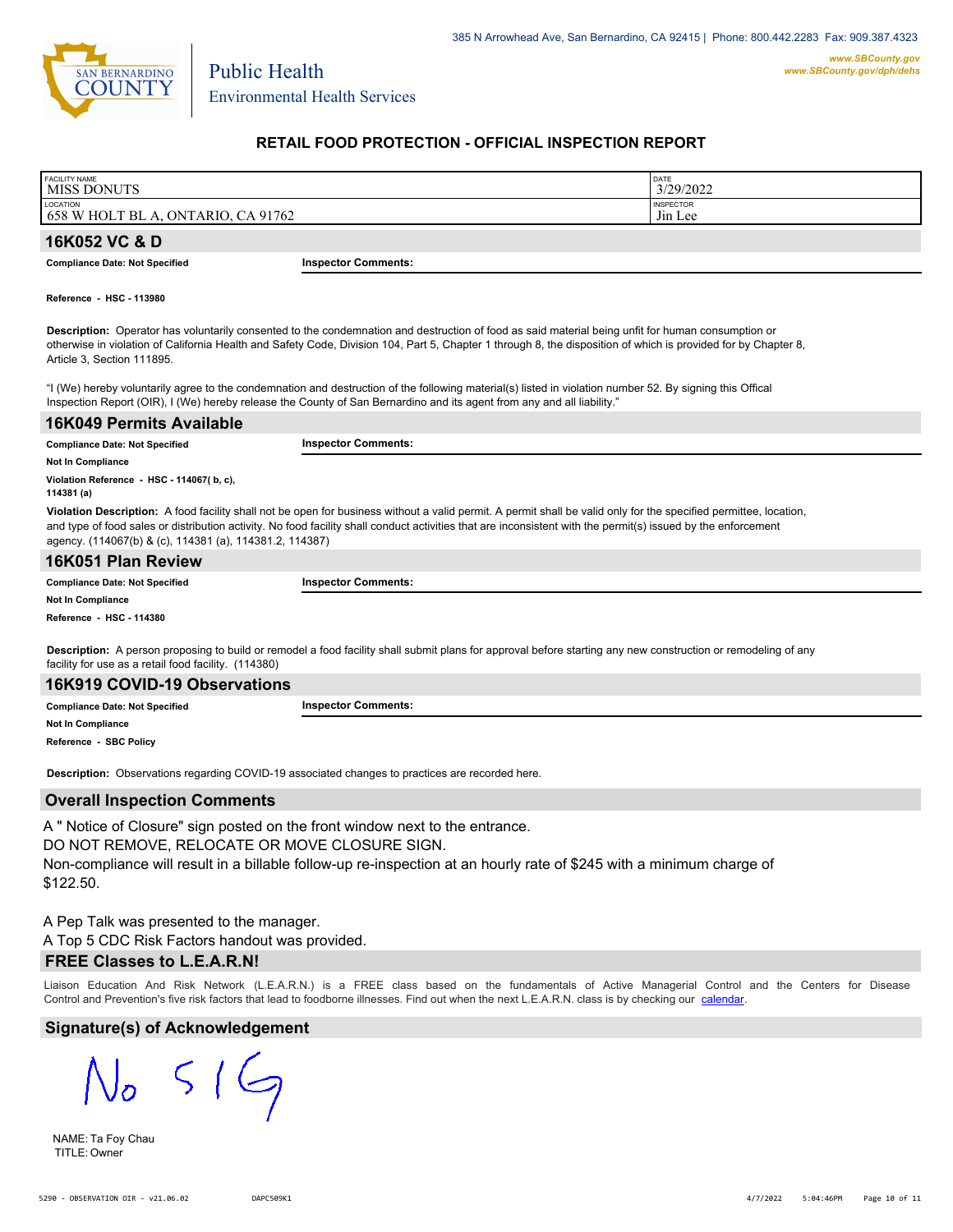

# **RETAIL FOOD PROTECTION - OFFICIAL INSPECTION REPORT**

| <b>FACILITY NAME</b><br>' MISS DONUTS          |                            | DATE<br>3/29/2022                       |
|------------------------------------------------|----------------------------|-----------------------------------------|
| LOCATION<br>658 W HOLT BL A, ONTARIO, CA 91762 |                            | <b>INSPECTOR</b><br>J <sub>11</sub> Lee |
| 16K052 VC & D                                  |                            |                                         |
| <b>Compliance Date: Not Specified</b>          | <b>Inspector Comments:</b> |                                         |

**Reference - HSC - 113980**

**Description:** Operator has voluntarily consented to the condemnation and destruction of food as said material being unfit for human consumption or otherwise in violation of California Health and Safety Code, Division 104, Part 5, Chapter 1 through 8, the disposition of which is provided for by Chapter 8, Article 3, Section 111895.

"I (We) hereby voluntarily agree to the condemnation and destruction of the following material(s) listed in violation number 52. By signing this Offical Inspection Report (OIR), I (We) hereby release the County of San Bernardino and its agent from any and all liability."

| 16K049 Permits Available                                |                                                                                                                                                                                                                                                                                                                                    |
|---------------------------------------------------------|------------------------------------------------------------------------------------------------------------------------------------------------------------------------------------------------------------------------------------------------------------------------------------------------------------------------------------|
| <b>Compliance Date: Not Specified</b>                   | <b>Inspector Comments:</b>                                                                                                                                                                                                                                                                                                         |
| Not In Compliance                                       |                                                                                                                                                                                                                                                                                                                                    |
| Violation Reference - HSC - 114067(b.c).<br>114381 (a)  |                                                                                                                                                                                                                                                                                                                                    |
| agency. (114067(b) & (c), 114381 (a), 114381.2, 114387) | Violation Description: A food facility shall not be open for business without a valid permit. A permit shall be valid only for the specified permittee, location,<br>and type of food sales or distribution activity. No food facility shall conduct activities that are inconsistent with the permit(s) issued by the enforcement |
| 16K051 Plan Review                                      |                                                                                                                                                                                                                                                                                                                                    |
| <b>Compliance Date: Not Specified</b>                   | <b>Inspector Comments:</b>                                                                                                                                                                                                                                                                                                         |
| <b>Not In Compliance</b>                                |                                                                                                                                                                                                                                                                                                                                    |

**Reference - HSC - 114380**

**Description:** A person proposing to build or remodel a food facility shall submit plans for approval before starting any new construction or remodeling of any facility for use as a retail food facility. (114380)

### **16K919 COVID-19 Observations**

**Compliance Date: Not Specified Inspector Comments:** 

**Not In Compliance**

**Reference - SBC Policy**

**Description:** Observations regarding COVID-19 associated changes to practices are recorded here.

## **Overall Inspection Comments**

A " Notice of Closure" sign posted on the front window next to the entrance. DO NOT REMOVE, RELOCATE OR MOVE CLOSURE SIGN. Non-compliance will result in a billable follow-up re-inspection at an hourly rate of \$245 with a minimum charge of \$122.50.

A Pep Talk was presented to the manager.

A Top 5 CDC Risk Factors handout was provided.

### **FREE Classes to L.E.A.R.N!**

Liaison Education And Risk Network (L.E.A.R.N.) is a FREE class based on the fundamentals of Active Managerial Control and [the Centers](http://wp.sbcounty.gov/dph/events/) for Disease Control and Prevention's five risk factors that lead to foodborne illnesses. Find out when the next L.E.A.R.N. class is by checking our calendar.

# **Signature(s) of Acknowledgement**

 $519$ 

NAME: Ta Foy Chau TITLE: Owner